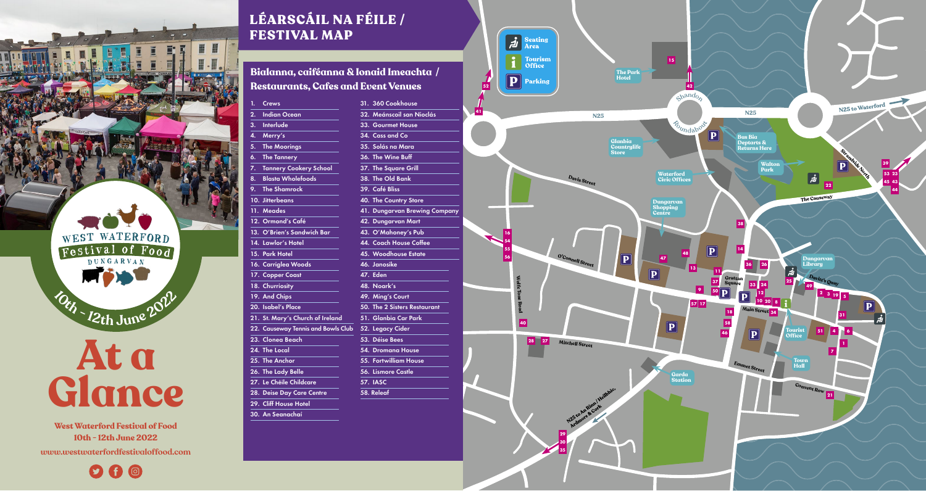

**West Waterford Festival of Food 10th - 12th June 2022 [www.westwaterfordfestivaloffood.com](http://www.westwaterfordfestivaloffood.com/)**

## $O$   $\theta$   $\odot$

## LÉARSCÁIL NA FÉILE / FESTIVAL MAP

**Bialanna, caiféanna & Ionaid Imeachta / Restaurants, Cafes and Event Venues**

| 1. | Crews                              | 31. 360 Cookhouse            |
|----|------------------------------------|------------------------------|
| 2. | <b>Indian Ocean</b>                | 32. Meánscoil san Nioclás    |
| 3. | <b>Interlude</b>                   | 33. Gourmet House            |
| 4. | Merry's                            | 34. Cass and Co              |
| 5. | <b>The Moorings</b>                | 35. Solás na Mara            |
| 6. | <b>The Tannery</b>                 | 36. The Wine Buff            |
| 7. | <b>Tannery Cookery School</b>      | 37. The Square Grill         |
| 8. | <b>Blasta Wholefoods</b>           | 38. The Old Bank             |
| 9. | <b>The Shamrock</b>                | 39. Café Bliss               |
|    | 10. Jitterbeans                    | <b>40. The Country Store</b> |
|    | 11. Meades                         | 41. Dungarvan Brewing Cor    |
|    | 12. Ormond's Café                  | 42. Dungarvan Mart           |
|    | 13. O'Brien's Sandwich Bar         | 43. O'Mahoney's Pub          |
|    | 14. Lawlor's Hotel                 | 44. Coach House Coffee       |
|    | 15. Park Hotel                     | 45. Woodhouse Estate         |
|    | 16. Carriglea Woods                | 46. Janosike                 |
|    | 17. Copper Coast                   | 47. Eden                     |
|    | 18. Churriosity                    | 48. Noark's                  |
|    | 19. And Chips                      | 49. Ming's Court             |
|    | 20. Isabel's Place                 | 50. The 2 Sisters Restaurant |
|    | 21. St. Mary's Church of Ireland   | 51. Glanbia Car Park         |
|    | 22. Causeway Tennis and Bowls Club | 52. Legacy Cider             |
|    | 23. Clonea Beach                   | 53. Déise Bees               |
|    | 24. The Local                      | 54. Dromana House            |
|    | 25. The Anchor                     | 55. Fortwilliam House        |
|    | 26. The Lady Belle                 | 56. Lismore Castle           |
|    | 27. Le Chéile Childcare            | <b>57. IASC</b>              |
|    | 28. Deise Day Care Centre          | 58. Releaf                   |
|    | <b>29. Cliff House Hotel</b>       |                              |

30. An Seanachaí